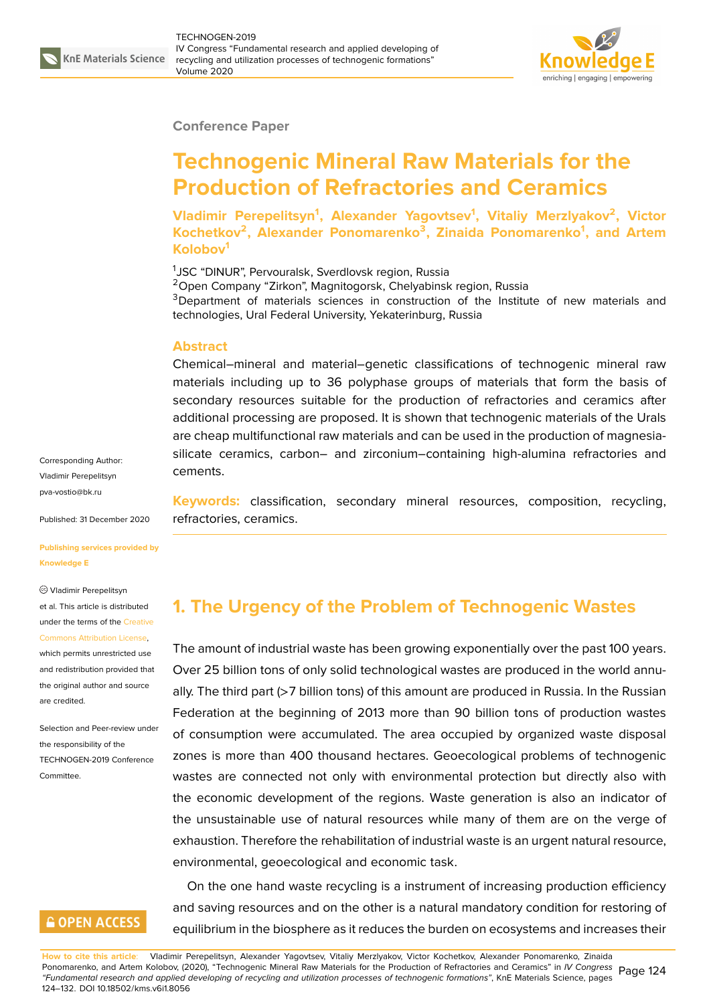

#### **Conference Paper**

# **Technogenic Mineral Raw Materials for the Production of Refractories and Ceramics**

**Vladimir Perepelitsyn<sup>1</sup> , Alexander Yagovtsev<sup>1</sup> , Vitaliy Merzlyakov<sup>2</sup> , Victor Kochetkov<sup>2</sup> , Alexander Ponomarenko<sup>3</sup> , Zinaida Ponomarenko<sup>1</sup> , and Artem Kolobov<sup>1</sup>**

<sup>1</sup>JSC "DINUR", Pervouralsk, Sverdlovsk region, Russia <sup>2</sup>Open Company "Zirkon", Magnitogorsk, Chelyabinsk region, Russia <sup>3</sup>Department of materials sciences in construction of the Institute of new materials and technologies, Ural Federal University, Yekaterinburg, Russia

#### **Abstract**

Chemical–mineral and material–genetic classifications of technogenic mineral raw materials including up to 36 polyphase groups of materials that form the basis of secondary resources suitable for the production of refractories and ceramics after additional processing are proposed. It is shown that technogenic materials of the Urals are cheap multifunctional raw materials and can be used in the production of magnesiasilicate ceramics, carbon– and zirconium–containing high-alumina refractories and cements.

**Keywords:** classification, secondary mineral resources, composition, recycling, refractories, ceramics.

#### **[Publishing servic](mailto:pva-vostio@bk.ru)es provided by Knowledge E**

Published: 31 December 2020

Vladimir Perepelitsyn

Corresponding Author: Vladimir Perepelitsyn pva-vostio@bk.ru

et al. This article is distributed under the terms of the Creative Commons Attribution License,

which permits unrestricted use and redistribution provided that the original author and [source](https://creativecommons.org/licenses/by/4.0/) [are credited.](https://creativecommons.org/licenses/by/4.0/)

Selection and Peer-review under the responsibility of the TECHNOGEN-2019 Conference Committee.

### **GOPEN ACCESS**

## **1. The Urgency of the Problem of Technogenic Wastes**

The amount of industrial waste has been growing exponentially over the past 100 years. Over 25 billion tons of only solid technological wastes are produced in the world annually. The third part (>7 billion tons) of this amount are produced in Russia. In the Russian Federation at the beginning of 2013 more than 90 billion tons of production wastes of consumption were accumulated. The area occupied by organized waste disposal zones is more than 400 thousand hectares. Geoecological problems of technogenic wastes are connected not only with environmental protection but directly also with the economic development of the regions. Waste generation is also an indicator of the unsustainable use of natural resources while many of them are on the verge of exhaustion. Therefore the rehabilitation of industrial waste is an urgent natural resource, environmental, geoecological and economic task.

On the one hand waste recycling is a instrument of increasing production efficiency and saving resources and on the other is a natural mandatory condition for restoring of equilibrium in the biosphere as it reduces the burden on ecosystems and increases their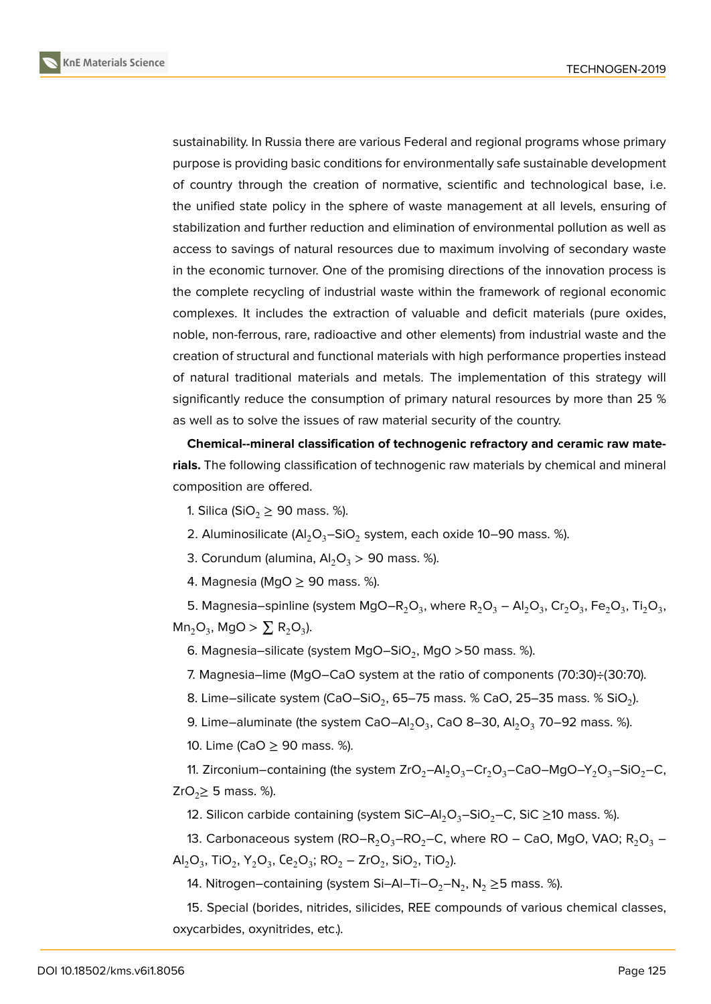

sustainability. In Russia there are various Federal and regional programs whose primary purpose is providing basic conditions for environmentally safe sustainable development of country through the creation of normative, scientific and technological base, i.e. the unified state policy in the sphere of waste management at all levels, ensuring of stabilization and further reduction and elimination of environmental pollution as well as access to savings of natural resources due to maximum involving of secondary waste in the economic turnover. One of the promising directions of the innovation process is the complete recycling of industrial waste within the framework of regional economic complexes. It includes the extraction of valuable and deficit materials (pure oxides, noble, non-ferrous, rare, radioactive and other elements) from industrial waste and the creation of structural and functional materials with high performance properties instead of natural traditional materials and metals. The implementation of this strategy will significantly reduce the consumption of primary natural resources by more than 25 % as well as to solve the issues of raw material security of the country.

**Chemical--mineral classification of technogenic refractory and ceramic raw materials.** The following classification of technogenic raw materials by chemical and mineral composition are offered.

1. Silica (SiO<sub>2</sub>  $\geq$  90 mass. %).

2. Aluminosilicate (Al $_2$ O<sub>3</sub>–SiO<sub>2</sub> system, each oxide 10–90 mass. %).

3. Corundum (alumina,  $Al_2O_3 > 90$  mass. %).

4. Magnesia (MgO  $\geq$  90 mass. %).

5. Magnesia–spinline (system MgO–R<sub>2</sub>O<sub>3</sub>, where R<sub>2</sub>O<sub>3</sub> – Al<sub>2</sub>O<sub>3</sub>, Cr<sub>2</sub>O<sub>3</sub>, Fe<sub>2</sub>O<sub>3</sub>, Ti<sub>2</sub>O<sub>3</sub>,  $Mn_2O_3$ , MgO >  $\sum R_2O_3$ ).

6. Magnesia–silicate (system MgO–SiO $_2$ , MgO >50 mass. %).

7. Magnesia–lime (MgO–CaO system at the ratio of components (70:30)÷(30:70).

8. Lime–silicate system (CaO–SiO $_2$ , 65–75 mass. % CaO, 25–35 mass. % SiO $_2$ ).

9. Lime–aluminate (the system CaO–Al $_2$ O $_3$ , CaO 8–30, Al $_2$ O $_3$  70–92 mass. %).

10. Lime (CaO ≥ 90 mass. %).

11. Zirconium–containing (the system  $ZrO_2-Al_2O_3-Cr_2O_3-CaO-MgO-Y_2O_3-SiO_2-C$ , ZrO<sub>2</sub> $\geq$  5 mass. %).

12. Silicon carbide containing (system SiC–Al<sub>2</sub>O<sub>3</sub>–SiO<sub>2</sub>–C, SiC ≥10 mass. %).

13. Carbonaceous system  $(RO-R_2O_3-RO_2-C)$ , where  $RO$  – CaO, MgO, VAO;  $R_2O_3$  –  $\mathsf{Al}_2\mathsf{O}_3$ , TiO<sub>2</sub>, Y<sub>2</sub>O<sub>3</sub>, Ce<sub>2</sub>O<sub>3</sub>; RO<sub>2</sub> – ZrO<sub>2</sub>, SiO<sub>2</sub>, TiO<sub>2</sub>).

14. Nitrogen–containing (system Si–Al–Ti–O $_2$ –N $_2$ , N $_2$   $\geq$ 5 mass. %).

15. Special (borides, nitrides, silicides, REE compounds of various chemical classes, oxycarbides, oxynitrides, etc.).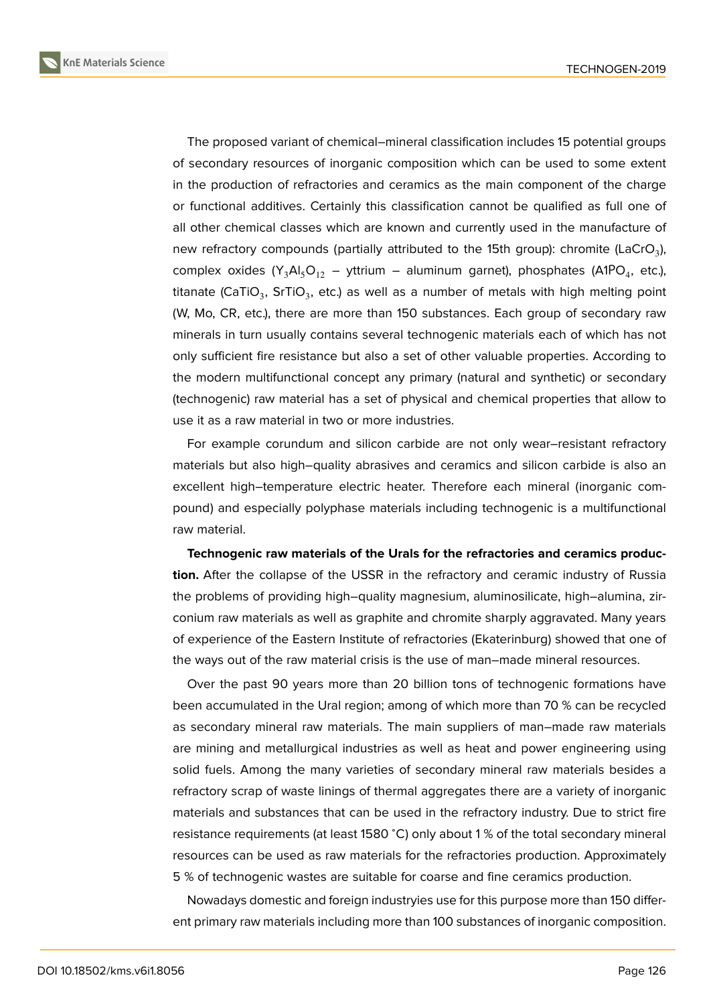**KnE Materials Science**



The proposed variant of chemical–mineral classification includes 15 potential groups of secondary resources of inorganic composition which can be used to some extent in the production of refractories and ceramics as the main component of the charge or functional additives. Certainly this classification cannot be qualified as full one of all other chemical classes which are known and currently used in the manufacture of new refractory compounds (partially attributed to the 15th group): chromite (LaCrO<sub>3</sub>), complex oxides  $(Y_3AI_5O_{12} - yttrium - aluminum garnet)$ , phosphates (A1PO<sub>4</sub>, etc.), titanate (CaTiO $_3$ , SrTiO $_3$ , etc.) as well as a number of metals with high melting point (W, Mo, CR, etc.), there are more than 150 substances. Each group of secondary raw minerals in turn usually contains several technogenic materials each of which has not only sufficient fire resistance but also a set of other valuable properties. According to the modern multifunctional concept any primary (natural and synthetic) or secondary (technogenic) raw material has a set of physical and chemical properties that allow to use it as a raw material in two or more industries.

For example corundum and silicon carbide are not only wear–resistant refractory materials but also high–quality abrasives and ceramics and silicon carbide is also an excellent high–temperature electric heater. Therefore each mineral (inorganic compound) and especially polyphase materials including technogenic is a multifunctional raw material.

**Technogenic raw materials of the Urals for the refractories and ceramics production.** After the collapse of the USSR in the refractory and ceramic industry of Russia the problems of providing high–quality magnesium, aluminosilicate, high–alumina, zirconium raw materials as well as graphite and chromite sharply aggravated. Many years of experience of the Eastern Institute of refractories (Ekaterinburg) showed that one of the ways out of the raw material crisis is the use of man–made mineral resources.

Over the past 90 years more than 20 billion tons of technogenic formations have been accumulated in the Ural region; among of which more than 70 % can be recycled as secondary mineral raw materials. The main suppliers of man–made raw materials are mining and metallurgical industries as well as heat and power engineering using solid fuels. Among the many varieties of secondary mineral raw materials besides a refractory scrap of waste linings of thermal aggregates there are a variety of inorganic materials and substances that can be used in the refractory industry. Due to strict fire resistance requirements (at least 1580 <sup>∘</sup>C) only about 1 % of the total secondary mineral resources can be used as raw materials for the refractories production. Approximately 5 % of technogenic wastes are suitable for coarse and fine ceramics production.

Nowadays domestic and foreign industryies use for this purpose more than 150 different primary raw materials including more than 100 substances of inorganic composition.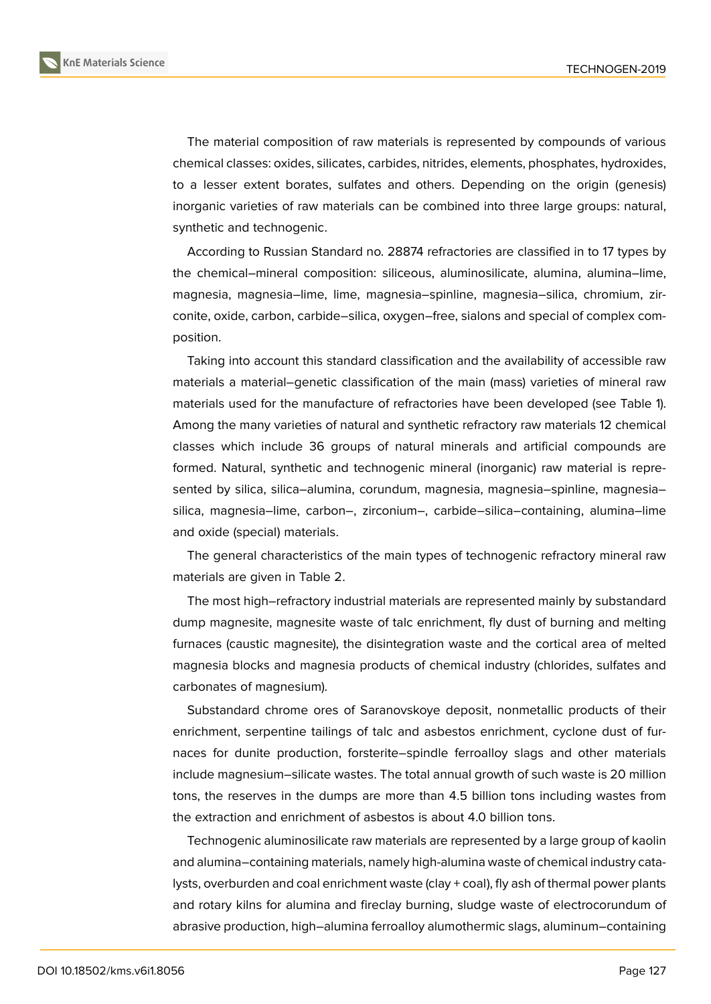**KnE Materials Science**

The material composition of raw materials is represented by compounds of various chemical classes: oxides, silicates, carbides, nitrides, elements, phosphates, hydroxides, to a lesser extent borates, sulfates and others. Depending on the origin (genesis) inorganic varieties of raw materials can be combined into three large groups: natural, synthetic and technogenic.

According to Russian Standard no. 28874 refractories are classified in to 17 types by the chemical–mineral composition: siliceous, aluminosilicate, alumina, alumina–lime, magnesia, magnesia–lime, lime, magnesia–spinline, magnesia–silica, chromium, zirconite, oxide, carbon, carbide–silica, oxygen–free, sialons and special of complex composition.

Taking into account this standard classification and the availability of accessible raw materials a material–genetic classification of the main (mass) varieties of mineral raw materials used for the manufacture of refractories have been developed (see Table 1). Among the many varieties of natural and synthetic refractory raw materials 12 chemical classes which include 36 groups of natural minerals and artificial compounds are formed. Natural, synthetic and technogenic mineral (inorganic) raw material is represented by silica, silica–alumina, corundum, magnesia, magnesia–spinline, magnesia– silica, magnesia–lime, carbon–, zirconium–, carbide–silica–containing, alumina–lime and oxide (special) materials.

The general characteristics of the main types of technogenic refractory mineral raw materials are given in Table 2.

The most high–refractory industrial materials are represented mainly by substandard dump magnesite, magnesite waste of talc enrichment, fly dust of burning and melting furnaces (caustic magnesite), the disintegration waste and the cortical area of melted magnesia blocks and magnesia products of chemical industry (chlorides, sulfates and carbonates of magnesium).

Substandard chrome ores of Saranovskoye deposit, nonmetallic products of their enrichment, serpentine tailings of talc and asbestos enrichment, cyclone dust of furnaces for dunite production, forsterite–spindle ferroalloy slags and other materials include magnesium–silicate wastes. The total annual growth of such waste is 20 million tons, the reserves in the dumps are more than 4.5 billion tons including wastes from the extraction and enrichment of asbestos is about 4.0 billion tons.

Technogenic aluminosilicate raw materials are represented by a large group of kaolin and alumina–containing materials, namely high-alumina waste of chemical industry catalysts, overburden and coal enrichment waste (clay + coal), fly ash of thermal power plants and rotary kilns for alumina and fireclay burning, sludge waste of electrocorundum of abrasive production, high–alumina ferroalloy alumothermic slags, aluminum–containing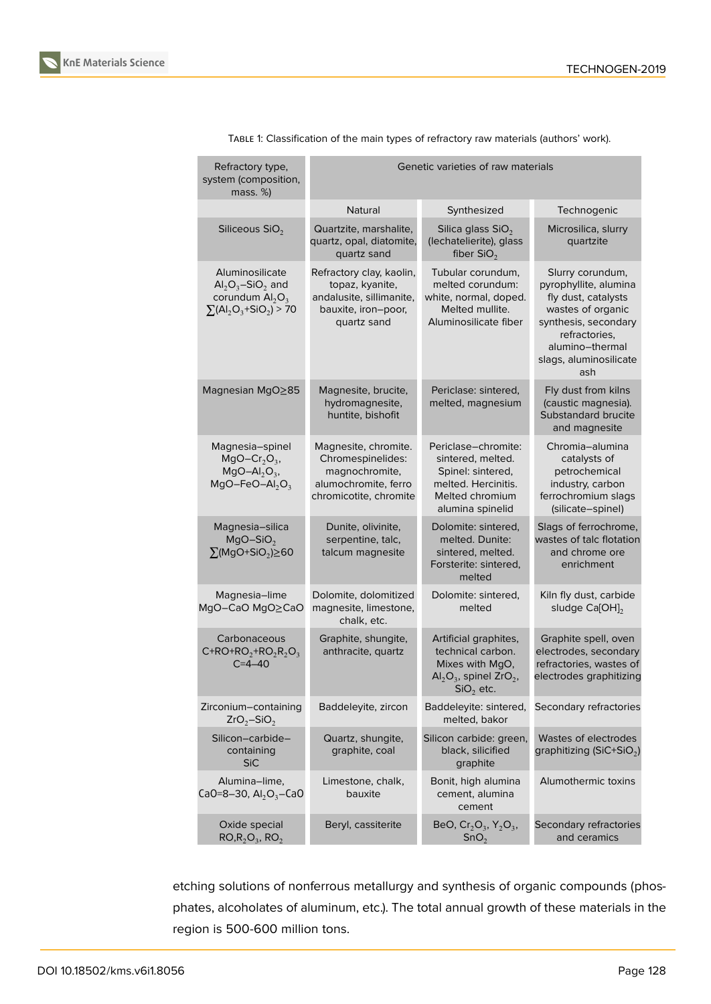

|  | Refractory type,<br>system (composition,<br>mass. %)                                         | Genetic varieties of raw materials                                                                            |                                                                                                                             |                                                                                                                                                                                    |
|--|----------------------------------------------------------------------------------------------|---------------------------------------------------------------------------------------------------------------|-----------------------------------------------------------------------------------------------------------------------------|------------------------------------------------------------------------------------------------------------------------------------------------------------------------------------|
|  |                                                                                              | Natural                                                                                                       | Synthesized                                                                                                                 | Technogenic                                                                                                                                                                        |
|  | Siliceous SiO <sub>2</sub>                                                                   | Quartzite, marshalite,<br>quartz, opal, diatomite,<br>quartz sand                                             | Silica glass $SiO2$<br>(lechatelierite), glass<br>fiber $SiO2$                                                              | Microsilica, slurry<br>quartzite                                                                                                                                                   |
|  | Aluminosilicate<br>$Al_2O_3-SiO_2$ and<br>corundum $Al2O3$<br>$\Sigma(AI_2O_3 + SiO_2) > 70$ | Refractory clay, kaolin,<br>topaz, kyanite,<br>andalusite, sillimanite,<br>bauxite, iron-poor,<br>quartz sand | Tubular corundum,<br>melted corundum:<br>white, normal, doped.<br>Melted mullite.<br>Aluminosilicate fiber                  | Slurry corundum,<br>pyrophyllite, alumina<br>fly dust, catalysts<br>wastes of organic<br>synthesis, secondary<br>refractories,<br>alumino-thermal<br>slags, aluminosilicate<br>ash |
|  | Magnesian MgO≥85                                                                             | Magnesite, brucite,<br>hydromagnesite,<br>huntite, bishofit                                                   | Periclase: sintered,<br>melted, magnesium                                                                                   | Fly dust from kilns<br>(caustic magnesia).<br>Substandard brucite<br>and magnesite                                                                                                 |
|  | Magnesia-spinel<br>$MgO-Cr2O3$<br>$MgO-Al2O3$ ,<br>$MgO-FeO-Al2O3$                           | Magnesite, chromite.<br>Chromespinelides:<br>magnochromite,<br>alumochromite, ferro<br>chromicotite, chromite | Periclase-chromite:<br>sintered, melted.<br>Spinel: sintered,<br>melted. Hercinitis.<br>Melted chromium<br>alumina spinelid | Chromia-alumina<br>catalysts of<br>petrochemical<br>industry, carbon<br>ferrochromium slags<br>(silicate-spinel)                                                                   |
|  | Magnesia-silica<br>$MgO-SiO2$<br>$\sum (MgO+SiO_2) \ge 60$                                   | Dunite, olivinite,<br>serpentine, talc,<br>talcum magnesite                                                   | Dolomite: sintered,<br>melted. Dunite:<br>sintered, melted.<br>Forsterite: sintered,<br>melted                              | Slags of ferrochrome,<br>wastes of talc flotation<br>and chrome ore<br>enrichment                                                                                                  |
|  | Magnesia-lime<br>MgO-CaO MgO≥CaO                                                             | Dolomite, dolomitized<br>magnesite, limestone,<br>chalk, etc.                                                 | Dolomite: sintered,<br>melted                                                                                               | Kiln fly dust, carbide<br>sludge Ca[OH] <sub>2</sub>                                                                                                                               |
|  | Carbonaceous<br>$C+RO+RO2+RO2R2O3$<br>$C = 4 - 40$                                           | Graphite, shungite,<br>anthracite, quartz                                                                     | Artificial graphites,<br>technical carbon.<br>Mixes with MgO,<br>$Al_2O_3$ , spinel ZrO <sub>2</sub> ,<br>$SiO2$ etc.       | Graphite spell, oven<br>electrodes, secondary<br>refractories, wastes of<br>electrodes graphitizing                                                                                |
|  | Zirconium-containing<br>$ZrO_2-SiO_2$                                                        | Baddeleyite, zircon                                                                                           | Baddeleyite: sintered,<br>melted, bakor                                                                                     | Secondary refractories                                                                                                                                                             |
|  | Silicon-carbide-<br>containing<br><b>SiC</b>                                                 | Quartz, shungite,<br>graphite, coal                                                                           | Silicon carbide: green,<br>black, silicified<br>graphite                                                                    | Wastes of electrodes<br>graphitizing (SiC+SiO <sub>2</sub> )                                                                                                                       |
|  | Alumina-lime,<br>CaO=8-30, $Al_2O_3$ -CaO                                                    | Limestone, chalk,<br>bauxite                                                                                  | Bonit, high alumina<br>cement, alumina<br>cement                                                                            | Alumothermic toxins                                                                                                                                                                |
|  | Oxide special<br>$RO, R_2O_3, RO_2$                                                          | Beryl, cassiterite                                                                                            | BeO, $Cr_2O_3$ , $Y_2O_3$ ,<br>SnO <sub>2</sub>                                                                             | Secondary refractories<br>and ceramics                                                                                                                                             |

TABLE 1: Classification of the main types of refractory raw materials (authors' work).

etching solutions of nonferrous metallurgy and synthesis of organic compounds (phosphates, alcoholates of aluminum, etc.). The total annual growth of these materials in the region is 500-600 million tons.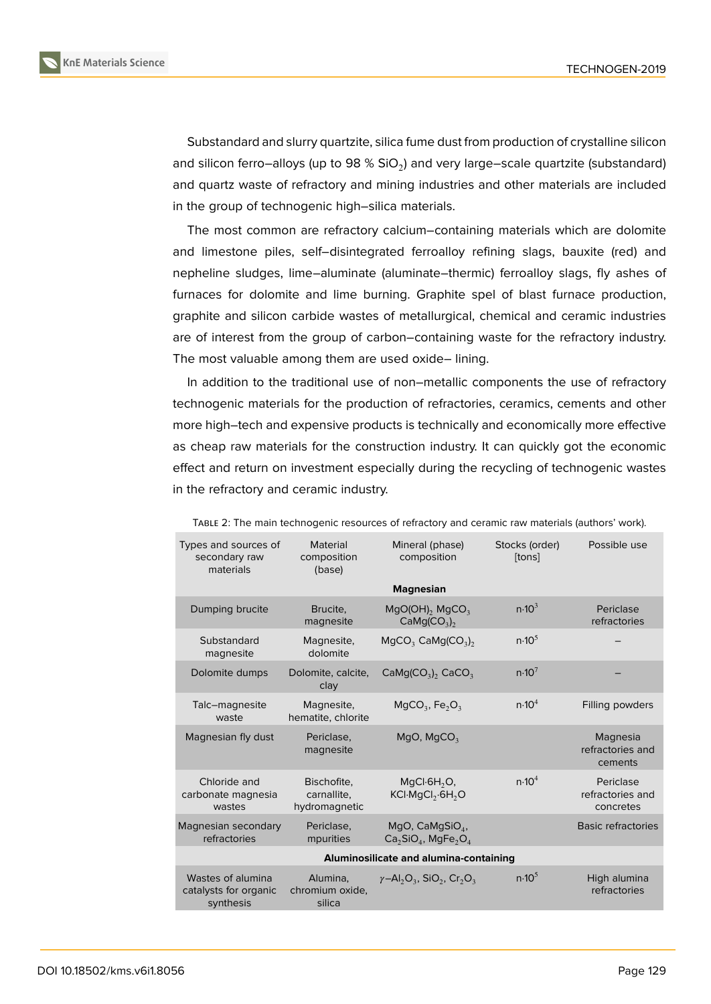

Substandard and slurry quartzite, silica fume dust from production of crystalline silicon and silicon ferro–alloys (up to 98 % SiO $_2$ ) and very large–scale quartzite (substandard) and quartz waste of refractory and mining industries and other materials are included in the group of technogenic high–silica materials.

The most common are refractory calcium–containing materials which are dolomite and limestone piles, self–disintegrated ferroalloy refining slags, bauxite (red) and nepheline sludges, lime–aluminate (aluminate–thermic) ferroalloy slags, fly ashes of furnaces for dolomite and lime burning. Graphite spel of blast furnace production, graphite and silicon carbide wastes of metallurgical, chemical and ceramic industries are of interest from the group of carbon–containing waste for the refractory industry. The most valuable among them are used oxide– lining.

In addition to the traditional use of non–metallic components the use of refractory technogenic materials for the production of refractories, ceramics, cements and other more high–tech and expensive products is technically and economically more effective as cheap raw materials for the construction industry. It can quickly got the economic effect and return on investment especially during the recycling of technogenic wastes in the refractory and ceramic industry.

| Types and sources of<br>secondary raw<br>materials      | Material<br>composition<br>(base)           | Mineral (phase)<br>composition                                                               | Stocks (order)<br>[tons] | Possible use                               |  |
|---------------------------------------------------------|---------------------------------------------|----------------------------------------------------------------------------------------------|--------------------------|--------------------------------------------|--|
|                                                         |                                             | <b>Magnesian</b>                                                                             |                          |                                            |  |
| Dumping brucite                                         | Brucite.<br>magnesite                       | $MqO(OH)$ , $MqCO3$<br>CaMg(CO <sub>3</sub> ) <sub>2</sub>                                   | n.10 <sup>3</sup>        | Periclase<br>refractories                  |  |
| Substandard<br>magnesite                                | Magnesite,<br>dolomite                      | $MgCO3$ CaMg(CO <sub>3</sub> ) <sub>2</sub>                                                  | n.10 <sup>5</sup>        |                                            |  |
| Dolomite dumps                                          | Dolomite, calcite,<br>clay                  | $CaMg(CO3)2 CaCO3$                                                                           | n.10 <sup>7</sup>        |                                            |  |
| Talc-magnesite<br>waste                                 | Magnesite,<br>hematite, chlorite            | $MgCO3$ , Fe <sub>2</sub> O <sub>3</sub>                                                     | n.10 <sup>4</sup>        | Filling powders                            |  |
| Magnesian fly dust                                      | Periclase,<br>magnesite                     | MgO, MgCO <sub>3</sub>                                                                       |                          | Magnesia<br>refractories and<br>cements    |  |
| Chloride and<br>carbonate magnesia<br>wastes            | Bischofite,<br>carnallite.<br>hydromagnetic | $MqCl·6H2O$ ,<br>KCI-MgCl <sub>2</sub> -6H <sub>2</sub> O                                    | n.10 <sup>4</sup>        | Periclase<br>refractories and<br>concretes |  |
| Magnesian secondary<br>refractories                     | Periclase.<br>mpurities                     | MgO, $CaMgSiO4$ ,<br>$Ca2SiO4$ , MgFe <sub>2</sub> O <sub>4</sub>                            |                          | <b>Basic refractories</b>                  |  |
| Aluminosilicate and alumina-containing                  |                                             |                                                                                              |                          |                                            |  |
| Wastes of alumina<br>catalysts for organic<br>synthesis | Alumina,<br>chromium oxide,<br>silica       | $\gamma$ -Al <sub>2</sub> O <sub>3</sub> , SiO <sub>2</sub> , Cr <sub>2</sub> O <sub>3</sub> | n.10 <sup>5</sup>        | High alumina<br>refractories               |  |

TABLE 2: The main technogenic resources of refractory and ceramic raw materials (authors' work).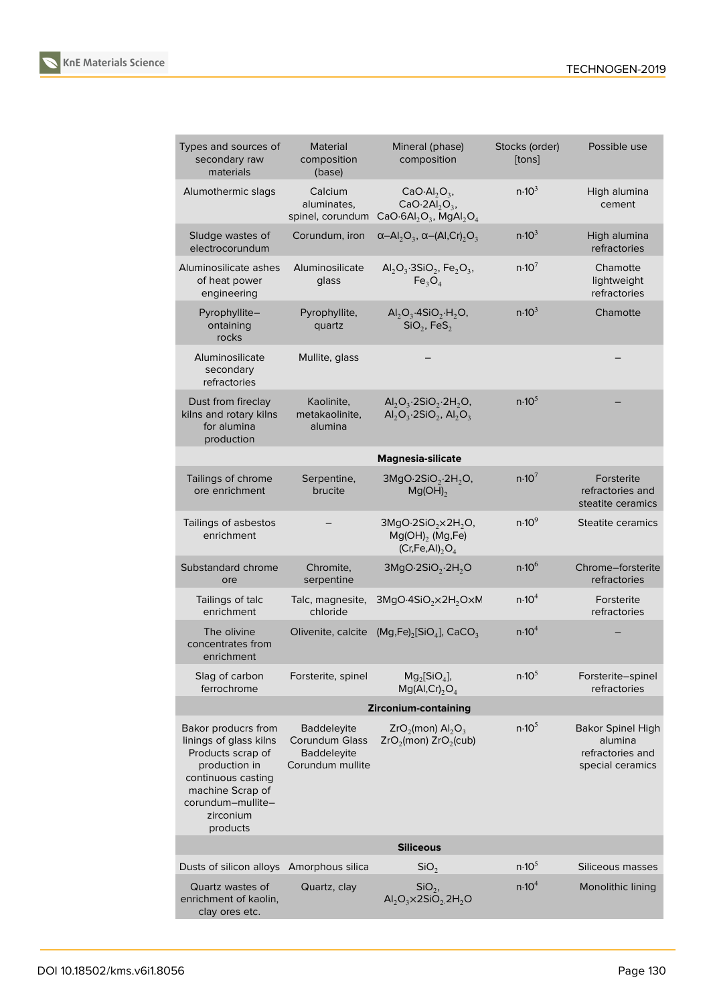

| Types and sources of<br>secondary raw<br>materials                                                                                                                          | <b>Material</b><br>composition<br>(base)                                | Mineral (phase)<br>composition                                                                                    | Stocks (order)<br>[tons] | Possible use                                                                |  |  |
|-----------------------------------------------------------------------------------------------------------------------------------------------------------------------------|-------------------------------------------------------------------------|-------------------------------------------------------------------------------------------------------------------|--------------------------|-----------------------------------------------------------------------------|--|--|
| Alumothermic slags                                                                                                                                                          | Calcium<br>aluminates,<br>spinel, corundum                              | $CaO·Al2O3$ ,<br>CaO $\cdot$ 2Al <sub>2</sub> O <sub>3</sub> ,<br>$CaO·6Al2O3$ , MgAl <sub>2</sub> O <sub>4</sub> | n.10 <sup>3</sup>        | High alumina<br>cement                                                      |  |  |
| Sludge wastes of<br>electrocorundum                                                                                                                                         | Corundum, iron                                                          | $\alpha$ -Al <sub>2</sub> O <sub>3</sub> , $\alpha$ -(Al,Cr) <sub>2</sub> O <sub>3</sub>                          | n.10 <sup>3</sup>        | High alumina<br>refractories                                                |  |  |
| Aluminosilicate ashes<br>of heat power<br>engineering                                                                                                                       | Aluminosilicate<br>glass                                                | $\text{Al}_2\text{O}_3$ 3SiO <sub>2</sub> , Fe <sub>2</sub> O <sub>3</sub> ,<br>Fe <sub>3</sub> O <sub>4</sub>    | n.10 <sup>7</sup>        | Chamotte<br>lightweight<br>refractories                                     |  |  |
| Pyrophyllite-<br>ontaining<br>rocks                                                                                                                                         | Pyrophyllite,<br>quartz                                                 | $AI2O3·4SiO2·H2O,$<br>$SiO2$ , FeS <sub>2</sub>                                                                   | n.10 <sup>3</sup>        | Chamotte                                                                    |  |  |
| Aluminosilicate<br>secondary<br>refractories                                                                                                                                | Mullite, glass                                                          |                                                                                                                   |                          |                                                                             |  |  |
| Dust from fireclay<br>kilns and rotary kilns<br>for alumina<br>production                                                                                                   | Kaolinite,<br>metakaolinite,<br>alumina                                 | $Al_2O_3.2SiO_2.2H_2O$ ,<br>$AI_2O_3.2SiO_2$ , $AI_2O_3$                                                          | n.10 <sup>5</sup>        |                                                                             |  |  |
|                                                                                                                                                                             |                                                                         | Magnesia-silicate                                                                                                 |                          |                                                                             |  |  |
| Tailings of chrome<br>ore enrichment                                                                                                                                        | Serpentine,<br>brucite                                                  | $3MgO·2SiO2·2H2O$ ,<br>$Mg(OH)_{2}$                                                                               | n.10 <sup>7</sup>        | Forsterite<br>refractories and<br>steatite ceramics                         |  |  |
| Tailings of asbestos<br>enrichment                                                                                                                                          |                                                                         | $3MgO·2SiO2×2H2O,$<br>$Mg(OH)$ <sub>2</sub> (Mg,Fe)<br>$(Cr,Fe,Al)$ <sub>2</sub> $O4$                             | n.10 <sup>9</sup>        | <b>Steatite ceramics</b>                                                    |  |  |
| Substandard chrome<br>ore                                                                                                                                                   | Chromite,<br>serpentine                                                 | 3MgO·2SiO <sub>2</sub> ·2H <sub>2</sub> O                                                                         | n.10 <sup>6</sup>        | Chrome-forsterite<br>refractories                                           |  |  |
| Tailings of talc<br>enrichment                                                                                                                                              | Talc, magnesite,<br>chloride                                            | 3MgO-4SiO <sub>2</sub> ×2H <sub>2</sub> O×M                                                                       | n.10 <sup>4</sup>        | Forsterite<br>refractories                                                  |  |  |
| The olivine<br>concentrates from<br>enrichment                                                                                                                              | Olivenite, calcite                                                      | $(Mg,Fe)_2$ [SiO <sub>4</sub> ], CaCO <sub>3</sub>                                                                | n.10 <sup>4</sup>        |                                                                             |  |  |
| Slag of carbon<br>ferrochrome                                                                                                                                               | Forsterite, spinel                                                      | $Mg_2[SiO_4]$ ,<br>$Mg(Al, Cr)$ <sub>2</sub> $O4$                                                                 | $n.10^{5}$               | Forsterite-spinel<br>refractories                                           |  |  |
|                                                                                                                                                                             |                                                                         | Zirconium-containing                                                                                              |                          |                                                                             |  |  |
| Bakor producrs from<br>linings of glass kilns<br>Products scrap of<br>production in<br>continuous casting<br>machine Scrap of<br>corundum-mullite-<br>zirconium<br>products | Baddeleyite<br>Corundum Glass<br><b>Baddeleyite</b><br>Corundum mullite | $ZrO_2$ (mon) Al <sub>2</sub> O <sub>3</sub><br>$ZrO2(mon) ZrO2(cub)$                                             | n.10 <sup>5</sup>        | <b>Bakor Spinel High</b><br>alumina<br>refractories and<br>special ceramics |  |  |
| <b>Siliceous</b>                                                                                                                                                            |                                                                         |                                                                                                                   |                          |                                                                             |  |  |
| Dusts of silicon alloys Amorphous silica                                                                                                                                    |                                                                         | SiO <sub>2</sub>                                                                                                  | n.10 <sup>5</sup>        | Siliceous masses                                                            |  |  |
| Quartz wastes of<br>enrichment of kaolin,<br>clay ores etc.                                                                                                                 | Quartz, clay                                                            | $SiO2$ ,<br>$AI_2O_3 \times 2SiO_2 2H_2O$                                                                         | n.10 <sup>4</sup>        | Monolithic lining                                                           |  |  |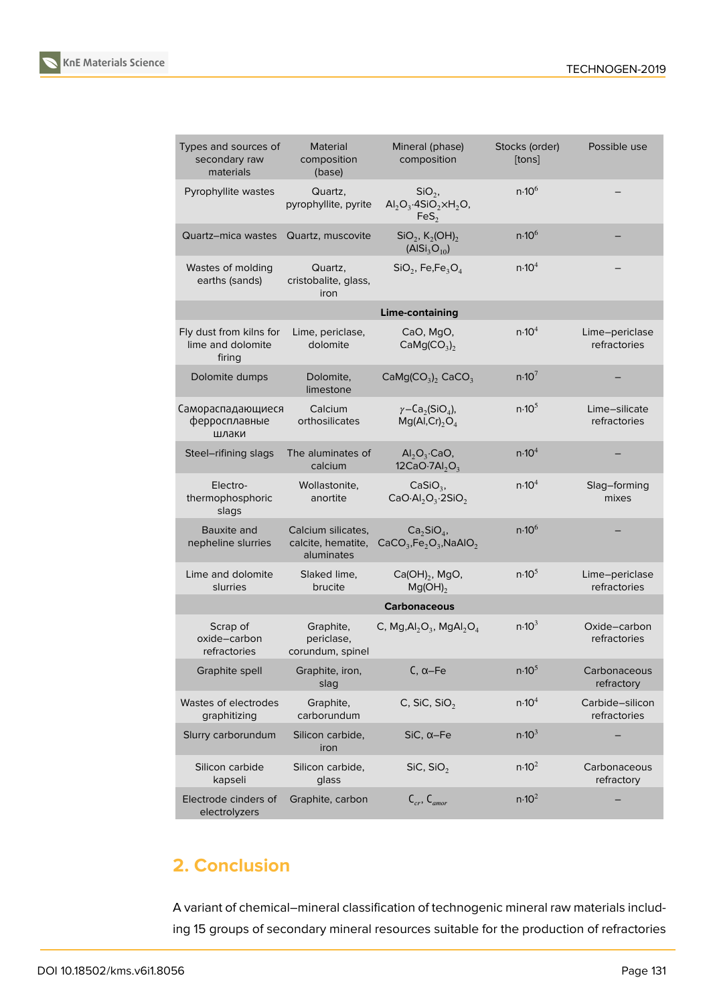



| Types and sources of<br>secondary raw<br>materials     | Material<br>composition<br>(base)                      | Mineral (phase)<br>composition                                                                    | Stocks (order)<br>[tons] | Possible use                    |
|--------------------------------------------------------|--------------------------------------------------------|---------------------------------------------------------------------------------------------------|--------------------------|---------------------------------|
| Pyrophyllite wastes                                    | Quartz,<br>pyrophyllite, pyrite                        | $SiO2$ ,<br>$\text{Al}_2\text{O}_3\cdot\text{4SiO}_2\times\text{H}_2\text{O}$<br>FeS <sub>2</sub> | n.10 <sup>6</sup>        |                                 |
| Quartz-mica wastes                                     | Quartz, muscovite                                      | $\text{SiO}_2$ , K <sub>2</sub> (OH) <sub>2</sub><br>(AlSi <sub>3</sub> O <sub>10</sub> )         | n.10 <sup>6</sup>        |                                 |
| Wastes of molding<br>earths (sands)                    | Quartz,<br>cristobalite, glass,<br>iron                | $SiO2$ , Fe, Fe <sub>3</sub> O <sub>4</sub>                                                       | n.10 <sup>4</sup>        |                                 |
|                                                        |                                                        | Lime-containing                                                                                   |                          |                                 |
| Fly dust from kilns for<br>lime and dolomite<br>firing | Lime, periclase,<br>dolomite                           | CaO, MgO,<br>CaMg(CO <sub>3</sub> ) <sub>2</sub>                                                  | n.10 <sup>4</sup>        | Lime-periclase<br>refractories  |
| Dolomite dumps                                         | Dolomite,<br>limestone                                 | $CaMg(CO3)2 CaCO3$                                                                                | n.10 <sup>7</sup>        |                                 |
| Самораспадающиеся<br>ферросплавные<br>шлаки            | Calcium<br>orthosilicates                              | $\gamma$ –Ca <sub>2</sub> (SiO <sub>4</sub> ),<br>$Mg(Al, Cr)$ <sub>2</sub> O <sub>4</sub>        | n.10 <sup>5</sup>        | Lime-silicate<br>refractories   |
| Steel-rifining slags                                   | The aluminates of<br>calcium                           | $\mathsf{Al}_2\mathsf{O}_3\text{-}\mathsf{CaO},$<br>12CaO $\cdot$ 7Al <sub>2</sub> O <sub>3</sub> | n.10 <sup>4</sup>        |                                 |
| Electro-<br>thermophosphoric<br>slags                  | Wollastonite,<br>anortite                              | $CaSiO3$ ,<br>$CaO·Al2O3·2SiO2$                                                                   | n.10 <sup>4</sup>        | Slag-forming<br>mixes           |
| Bauxite and<br>nepheline slurries                      | Calcium silicates,<br>calcite, hematite,<br>aluminates | $Ca2SiO4$ ,<br>$CaCO3, Fe2O3, NaAlO2$                                                             | n.10 <sup>6</sup>        |                                 |
| Lime and dolomite<br>slurries                          | Slaked lime,<br>brucite                                | $Ca(OH)_2$ , MgO,<br>$Mg(OH)_{2}$                                                                 | n.10 <sup>5</sup>        | Lime-periclase<br>refractories  |
|                                                        |                                                        | <b>Carbonaceous</b>                                                                               |                          |                                 |
| Scrap of<br>oxide-carbon<br>refractories               | Graphite,<br>periclase,<br>corundum, spinel            | C, $Mg, Al_2O_3$ , $MgAl_2O_4$                                                                    | n.10 <sup>3</sup>        | Oxide-carbon<br>refractories    |
| Graphite spell                                         | Graphite, iron,<br>slag                                | $C, \alpha$ –Fe                                                                                   | $n.10^{5}$               | Carbonaceous<br>refractory      |
| Wastes of electrodes<br>graphitizing                   | Graphite,<br>carborundum                               | C, SiC, SiO,                                                                                      | n.10 <sup>4</sup>        | Carbide-silicon<br>refractories |
| Slurry carborundum                                     | Silicon carbide,<br>iron                               | $SiC, \alpha$ -Fe                                                                                 | n.10 <sup>3</sup>        |                                 |
| Silicon carbide<br>kapseli                             | Silicon carbide,<br>glass                              | SiC, SiO <sub>2</sub>                                                                             | n.10 <sup>2</sup>        | Carbonaceous<br>refractory      |
| Electrode cinders of<br>electrolyzers                  | Graphite, carbon                                       | $C_{cr}$ , $C_{amor}$                                                                             | $n \cdot 10^2$           |                                 |

# **2. Conclusion**

A variant of chemical–mineral classification of technogenic mineral raw materials including 15 groups of secondary mineral resources suitable for the production of refractories